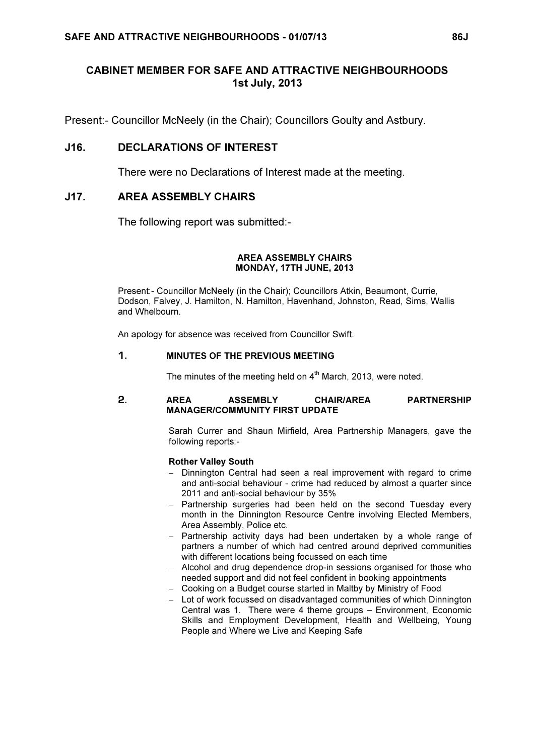# CABINET MEMBER FOR SAFE AND ATTRACTIVE NEIGHBOURHOODS 1st July, 2013

Present:- Councillor McNeely (in the Chair); Councillors Goulty and Astbury.

# J16. DECLARATIONS OF INTEREST

There were no Declarations of Interest made at the meeting.

# J17. AREA ASSEMBLY CHAIRS

The following report was submitted:-

#### AREA ASSEMBLY CHAIRS MONDAY, 17TH JUNE, 2013

Present:- Councillor McNeely (in the Chair); Councillors Atkin, Beaumont, Currie, Dodson, Falvey, J. Hamilton, N. Hamilton, Havenhand, Johnston, Read, Sims, Wallis and Whelbourn.

An apology for absence was received from Councillor Swift.

## 1. MINUTES OF THE PREVIOUS MEETING

The minutes of the meeting held on  $4<sup>th</sup>$  March, 2013, were noted.

## 2. AREA ASSEMBLY CHAIR/AREA PARTNERSHIP MANAGER/COMMUNITY FIRST UPDATE

Sarah Currer and Shaun Mirfield, Area Partnership Managers, gave the following reports:-

## Rother Valley South

- − Dinnington Central had seen a real improvement with regard to crime and anti-social behaviour - crime had reduced by almost a quarter since 2011 and anti-social behaviour by 35%
- − Partnership surgeries had been held on the second Tuesday every month in the Dinnington Resource Centre involving Elected Members, Area Assembly, Police etc.
- − Partnership activity days had been undertaken by a whole range of partners a number of which had centred around deprived communities with different locations being focussed on each time
- − Alcohol and drug dependence drop-in sessions organised for those who needed support and did not feel confident in booking appointments
- − Cooking on a Budget course started in Maltby by Ministry of Food
- − Lot of work focussed on disadvantaged communities of which Dinnington Central was 1. There were 4 theme groups – Environment, Economic Skills and Employment Development, Health and Wellbeing, Young People and Where we Live and Keeping Safe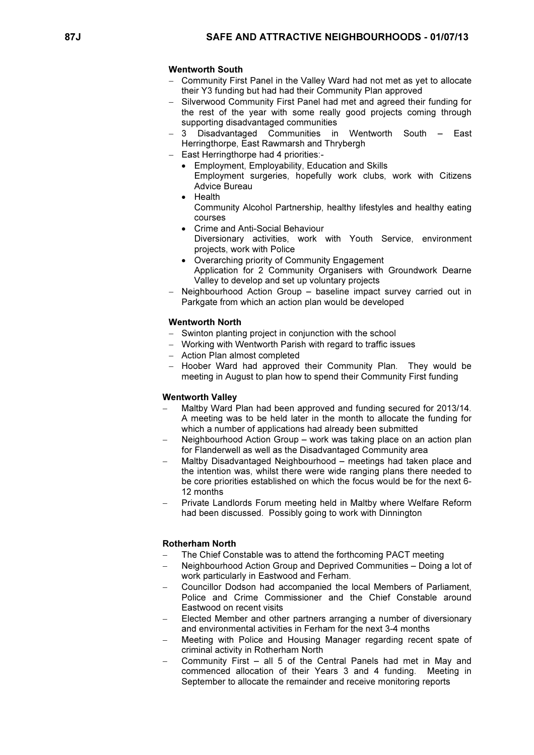## Wentworth South

- Community First Panel in the Valley Ward had not met as yet to allocate their Y3 funding but had had their Community Plan approved
- − Silverwood Community First Panel had met and agreed their funding for the rest of the year with some really good projects coming through supporting disadvantaged communities
- − 3 Disadvantaged Communities in Wentworth South East Herringthorpe, East Rawmarsh and Thrybergh
- − East Herringthorpe had 4 priorities:-
	- Employment, Employability, Education and Skills Employment surgeries, hopefully work clubs, work with Citizens Advice Bureau
	- Health Community Alcohol Partnership, healthy lifestyles and healthy eating courses
	- Crime and Anti-Social Behaviour Diversionary activities, work with Youth Service, environment projects, work with Police
	- Overarching priority of Community Engagement Application for 2 Community Organisers with Groundwork Dearne Valley to develop and set up voluntary projects
- Neighbourhood Action Group baseline impact survey carried out in Parkgate from which an action plan would be developed

#### Wentworth North

- − Swinton planting project in conjunction with the school
- − Working with Wentworth Parish with regard to traffic issues
- − Action Plan almost completed
- − Hoober Ward had approved their Community Plan. They would be meeting in August to plan how to spend their Community First funding

#### Wentworth Valley

- − Maltby Ward Plan had been approved and funding secured for 2013/14. A meeting was to be held later in the month to allocate the funding for which a number of applications had already been submitted
- Neighbourhood Action Group work was taking place on an action plan for Flanderwell as well as the Disadvantaged Community area
- − Maltby Disadvantaged Neighbourhood meetings had taken place and the intention was, whilst there were wide ranging plans there needed to be core priorities established on which the focus would be for the next 6- 12 months
- − Private Landlords Forum meeting held in Maltby where Welfare Reform had been discussed. Possibly going to work with Dinnington

#### Rotherham North

- The Chief Constable was to attend the forthcoming PACT meeting
- Neighbourhood Action Group and Deprived Communities Doing a lot of work particularly in Eastwood and Ferham.
- − Councillor Dodson had accompanied the local Members of Parliament, Police and Crime Commissioner and the Chief Constable around Eastwood on recent visits
- Elected Member and other partners arranging a number of diversionary and environmental activities in Ferham for the next 3-4 months
- Meeting with Police and Housing Manager regarding recent spate of criminal activity in Rotherham North
- − Community First all 5 of the Central Panels had met in May and commenced allocation of their Years 3 and 4 funding. Meeting in September to allocate the remainder and receive monitoring reports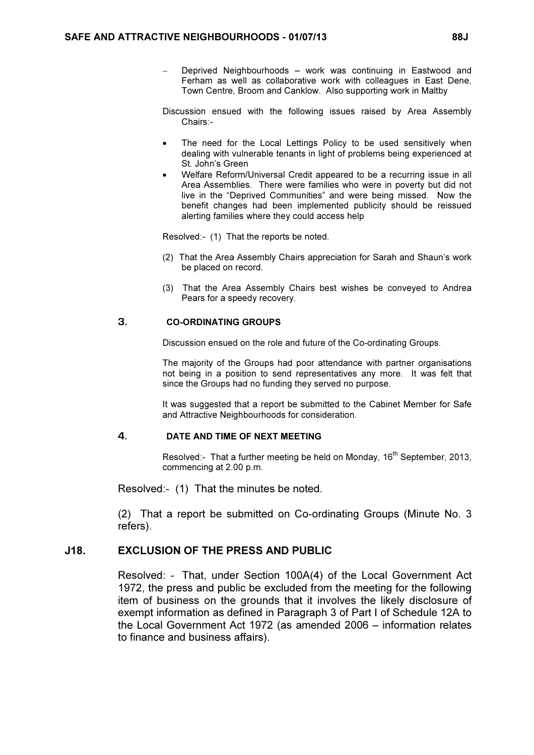Deprived Neighbourhoods – work was continuing in Eastwood and Ferham as well as collaborative work with colleagues in East Dene, Town Centre, Broom and Canklow. Also supporting work in Maltby

Discussion ensued with the following issues raised by Area Assembly Chairs:-

- The need for the Local Lettings Policy to be used sensitively when dealing with vulnerable tenants in light of problems being experienced at St. John's Green
- Welfare Reform/Universal Credit appeared to be a recurring issue in all Area Assemblies. There were families who were in poverty but did not live in the "Deprived Communities" and were being missed. Now the benefit changes had been implemented publicity should be reissued alerting families where they could access help

Resolved:- (1) That the reports be noted.

- (2) That the Area Assembly Chairs appreciation for Sarah and Shaun's work be placed on record.
- (3) That the Area Assembly Chairs best wishes be conveyed to Andrea Pears for a speedy recovery.

## 3. CO-ORDINATING GROUPS

Discussion ensued on the role and future of the Co-ordinating Groups.

The majority of the Groups had poor attendance with partner organisations not being in a position to send representatives any more. It was felt that since the Groups had no funding they served no purpose.

It was suggested that a report be submitted to the Cabinet Member for Safe and Attractive Neighbourhoods for consideration.

# 4. DATE AND TIME OF NEXT MEETING

Resolved:- That a further meeting be held on Monday, 16<sup>th</sup> September, 2013, commencing at 2.00 p.m.

Resolved:- (1) That the minutes be noted.

(2) That a report be submitted on Co-ordinating Groups (Minute No. 3 refers).

## J18. EXCLUSION OF THE PRESS AND PUBLIC

 Resolved: - That, under Section 100A(4) of the Local Government Act 1972, the press and public be excluded from the meeting for the following item of business on the grounds that it involves the likely disclosure of exempt information as defined in Paragraph 3 of Part I of Schedule 12A to the Local Government Act 1972 (as amended 2006 – information relates to finance and business affairs).